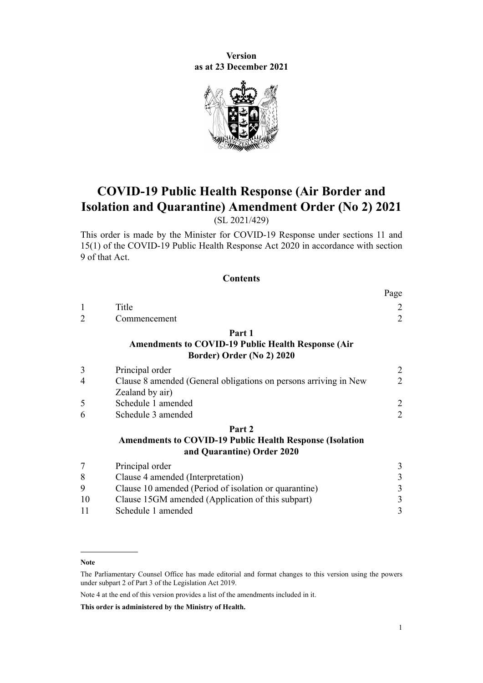**Version as at 23 December 2021**



# **COVID-19 Public Health Response (Air Border and Isolation and Quarantine) Amendment Order (No 2) 2021**

(SL 2021/429)

This order is made by the Minister for COVID-19 Response under [sections 11](http://legislation.govt.nz/pdflink.aspx?id=LMS344177) and [15\(1\)](http://legislation.govt.nz/pdflink.aspx?id=LMS344183) of the [COVID-19 Public Health Response Act 2020](http://legislation.govt.nz/pdflink.aspx?id=LMS344121) in accordance with [section](http://legislation.govt.nz/pdflink.aspx?id=LMS344175) [9](http://legislation.govt.nz/pdflink.aspx?id=LMS344175) of that Act.

#### **Contents**

|                |                                                                                                   | rage           |
|----------------|---------------------------------------------------------------------------------------------------|----------------|
|                | Title                                                                                             | 2              |
| $\overline{2}$ | Commencement                                                                                      | $\overline{2}$ |
|                | Part 1<br><b>Amendments to COVID-19 Public Health Response (Air)</b><br>Border) Order (No 2) 2020 |                |
| 3              | Principal order                                                                                   | $\overline{2}$ |
| $\overline{4}$ | Clause 8 amended (General obligations on persons arriving in New<br>Zealand by air)               | 2              |
| 5              | Schedule 1 amended                                                                                | $\overline{c}$ |
| 6              | Schedule 3 amended                                                                                | $\overline{2}$ |
|                | Part 2                                                                                            |                |
|                | <b>Amendments to COVID-19 Public Health Response (Isolation</b><br>and Quarantine) Order 2020     |                |
| 7              | Principal order                                                                                   | $\mathfrak{Z}$ |
| 8              | Clause 4 amended (Interpretation)                                                                 | 3              |
| 9              | Clause 10 amended (Period of isolation or quarantine)                                             | 3              |
| 10             | Clause 15GM amended (Application of this subpart)                                                 | 3              |
| 11             | Schedule 1 amended                                                                                | 3              |
|                |                                                                                                   |                |

Note 4 at the end of this version provides a list of the amendments included in it.

**This order is administered by the Ministry of Health.**

 $\mathbf{r}$ 

**Note**

The Parliamentary Counsel Office has made editorial and format changes to this version using the powers under [subpart 2](http://legislation.govt.nz/pdflink.aspx?id=DLM7298371) of Part 3 of the Legislation Act 2019.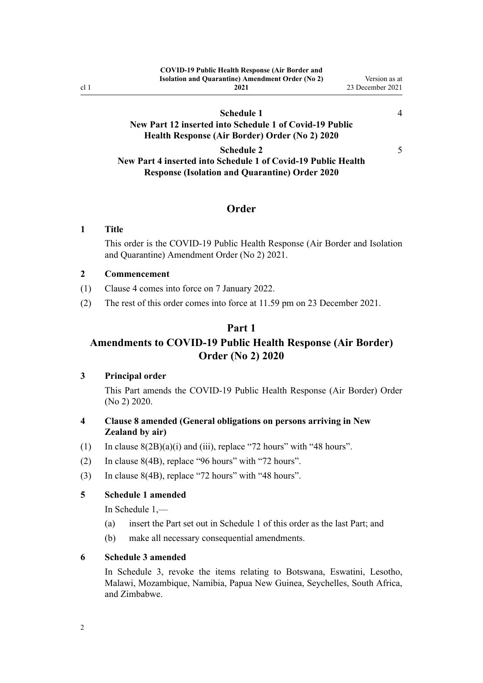<span id="page-1-0"></span>

|                 | <b>COVID-19 Public Health Response (Air Border and</b>  |                  |
|-----------------|---------------------------------------------------------|------------------|
|                 | <b>Isolation and Quarantine) Amendment Order (No 2)</b> | Version as at    |
| cl <sub>1</sub> | 2021                                                    | 23 December 2021 |
|                 |                                                         |                  |

## **[Schedule 1](#page-3-0) [New Part 12 inserted into Schedule 1 of Covid-19 Public](#page-3-0) [Health Response \(Air Border\) Order \(No 2\) 2020](#page-3-0)**

[4](#page-3-0)

[5](#page-4-0)

**[Schedule 2](#page-4-0) [New Part 4 inserted into Schedule 1 of Covid-19 Public Health](#page-4-0) [Response \(Isolation and Quarantine\) Order 2020](#page-4-0)**

## **Order**

#### **1 Title**

This order is the COVID-19 Public Health Response (Air Border and Isolation and Quarantine) Amendment Order (No 2) 2021.

#### **2 Commencement**

- (1) Clause 4 comes into force on 7 January 2022.
- (2) The rest of this order comes into force at 11.59 pm on 23 December 2021.

### **Part 1**

## **Amendments to COVID-19 Public Health Response (Air Border) Order (No 2) 2020**

#### **3 Principal order**

This Part amends the [COVID-19 Public Health Response \(Air Border\) Order](http://legislation.govt.nz/pdflink.aspx?id=LMS403345) [\(No 2\) 2020](http://legislation.govt.nz/pdflink.aspx?id=LMS403345).

### **4 Clause 8 amended (General obligations on persons arriving in New Zealand by air)**

- (1) In clause  $8(2B)(a)(i)$  and (iii), replace "72 hours" with "48 hours".
- (2) In [clause 8\(4B\)](http://legislation.govt.nz/pdflink.aspx?id=LMS403374), replace "96 hours" with "72 hours".
- (3) In [clause 8\(4B\)](http://legislation.govt.nz/pdflink.aspx?id=LMS403374), replace "72 hours" with "48 hours".

#### **5 Schedule 1 amended**

In [Schedule 1](http://legislation.govt.nz/pdflink.aspx?id=LMS403399),—

- (a) insert the Part set out in [Schedule 1](#page-3-0) of this order as the last Part; and
- (b) make all necessary consequential amendments.

#### **6 Schedule 3 amended**

In [Schedule 3,](http://legislation.govt.nz/pdflink.aspx?id=LMS487644) revoke the items relating to Botswana, Eswatini, Lesotho, Malawi, Mozambique, Namibia, Papua New Guinea, Seychelles, South Africa, and Zimbabwe.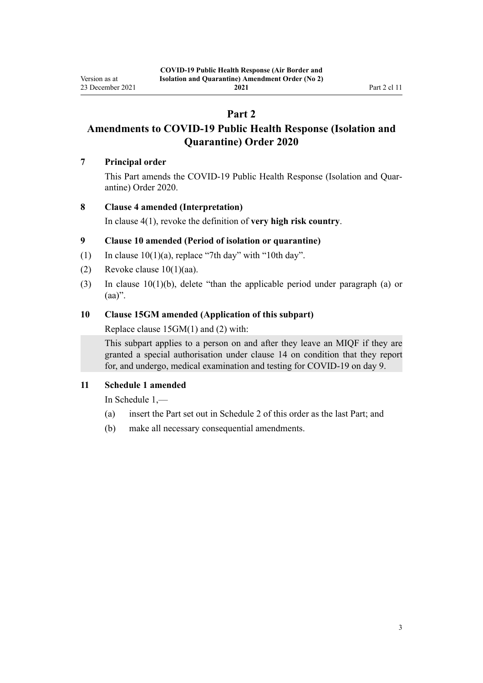## **Part 2**

# <span id="page-2-0"></span>**Amendments to COVID-19 Public Health Response (Isolation and Quarantine) Order 2020**

#### **7 Principal order**

This Part amends the COVID-19 Public Health Response (Isolation and Quar[antine\) Order 2020.](http://legislation.govt.nz/pdflink.aspx?id=LMS401666)

### **8 Clause 4 amended (Interpretation)**

In [clause 4\(1\)](http://legislation.govt.nz/pdflink.aspx?id=LMS401701), revoke the definition of **very high risk country**.

### **9 Clause 10 amended (Period of isolation or quarantine)**

- (1) In clause  $10(1)(a)$ , replace "7th day" with "10th day".
- (2) Revoke clause  $10(1)(aa)$ .
- (3) In [clause 10\(1\)\(b\),](http://legislation.govt.nz/pdflink.aspx?id=LMS401711) delete "than the applicable period under paragraph (a) or  $(aa)$ ".

### **10 Clause 15GM amended (Application of this subpart)**

Replace [clause 15GM\(1\) and \(2\)](http://legislation.govt.nz/pdflink.aspx?id=LMS596637) with:

This subpart applies to a person on and after they leave an MIQF if they are granted a special authorisation under clause 14 on condition that they report for, and undergo, medical examination and testing for COVID-19 on day 9.

## **11 Schedule 1 amended**

In [Schedule 1](http://legislation.govt.nz/pdflink.aspx?id=LMS401747),—

- (a) insert the Part set out in [Schedule 2](#page-4-0) of this order as the last Part; and
- (b) make all necessary consequential amendments.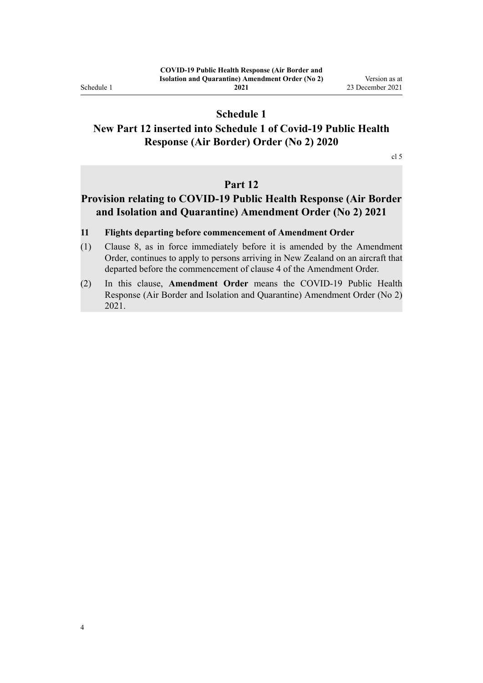<span id="page-3-0"></span>Schedule 1

**2021**

## **Schedule 1**

## **New Part 12 inserted into Schedule 1 of Covid-19 Public Health Response (Air Border) Order (No 2) 2020**

[cl 5](#page-1-0)

## **Part 12**

## **Provision relating to COVID-19 Public Health Response (Air Border and Isolation and Quarantine) Amendment Order (No 2) 2021**

#### **11 Flights departing before commencement of Amendment Order**

- (1) Clause 8, as in force immediately before it is amended by the Amendment Order, continues to apply to persons arriving in New Zealand on an aircraft that departed before the commencement of clause 4 of the Amendment Order.
- (2) In this clause, **Amendment Order** means the COVID-19 Public Health Response (Air Border and Isolation and Quarantine) Amendment Order (No 2) 2021.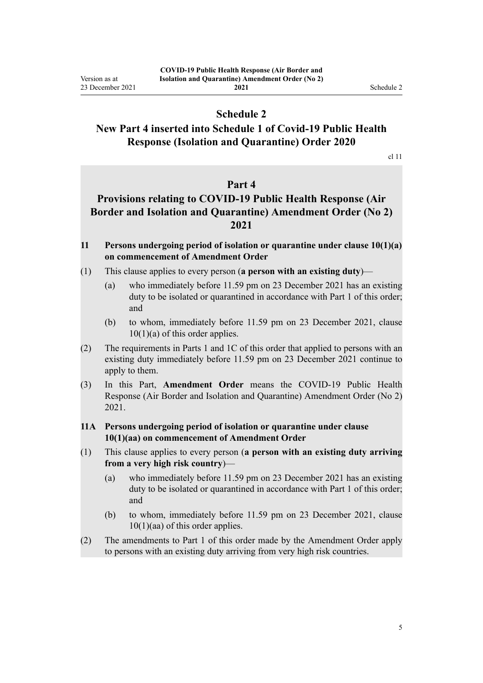## **Schedule 2**

## <span id="page-4-0"></span>**New Part 4 inserted into Schedule 1 of Covid-19 Public Health Response (Isolation and Quarantine) Order 2020**

[cl 11](#page-2-0)

### **Part 4**

## **Provisions relating to COVID-19 Public Health Response (Air Border and Isolation and Quarantine) Amendment Order (No 2) 2021**

- **11 Persons undergoing period of isolation or quarantine under clause 10(1)(a) on commencement of Amendment Order**
- (1) This clause applies to every person (**a person with an existing duty**)—
	- (a) who immediately before 11.59 pm on 23 December 2021 has an existing duty to be isolated or quarantined in accordance with Part 1 of this order; and
	- (b) to whom, immediately before 11.59 pm on 23 December 2021, clause  $10(1)(a)$  of this order applies.
- (2) The requirements in Parts 1 and 1C of this order that applied to persons with an existing duty immediately before 11.59 pm on 23 December 2021 continue to apply to them.
- (3) In this Part, **Amendment Order** means the COVID-19 Public Health Response (Air Border and Isolation and Quarantine) Amendment Order (No 2) 2021.
- **11A Persons undergoing period of isolation or quarantine under clause 10(1)(aa) on commencement of Amendment Order**
- (1) This clause applies to every person (**a person with an existing duty arriving from a very high risk country**)—
	- (a) who immediately before 11.59 pm on 23 December 2021 has an existing duty to be isolated or quarantined in accordance with Part 1 of this order; and
	- (b) to whom, immediately before 11.59 pm on 23 December 2021, clause  $10(1)(aa)$  of this order applies.
- (2) The amendments to Part 1 of this order made by the Amendment Order apply to persons with an existing duty arriving from very high risk countries.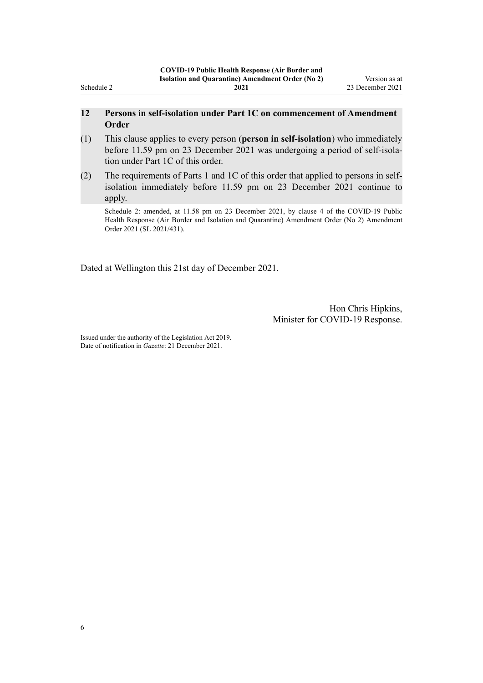#### **12 Persons in self-isolation under Part 1C on commencement of Amendment Order**

- (1) This clause applies to every person (**person in self-isolation**) who immediately before 11.59 pm on 23 December 2021 was undergoing a period of self-isolation under Part 1C of this order.
- (2) The requirements of Parts 1 and 1C of this order that applied to persons in selfisolation immediately before 11.59 pm on 23 December 2021 continue to apply.

Schedule 2: amended, at 11.58 pm on 23 December 2021, by [clause 4](http://legislation.govt.nz/pdflink.aspx?id=LMS624559) of the COVID-19 Public Health Response (Air Border and Isolation and Quarantine) Amendment Order (No 2) Amendment Order 2021 (SL 2021/431).

Dated at Wellington this 21st day of December 2021.

Hon Chris Hipkins, Minister for COVID-19 Response.

Issued under the authority of the [Legislation Act 2019](http://legislation.govt.nz/pdflink.aspx?id=DLM7298104). Date of notification in *Gazette*: 21 December 2021.

Schedule 2